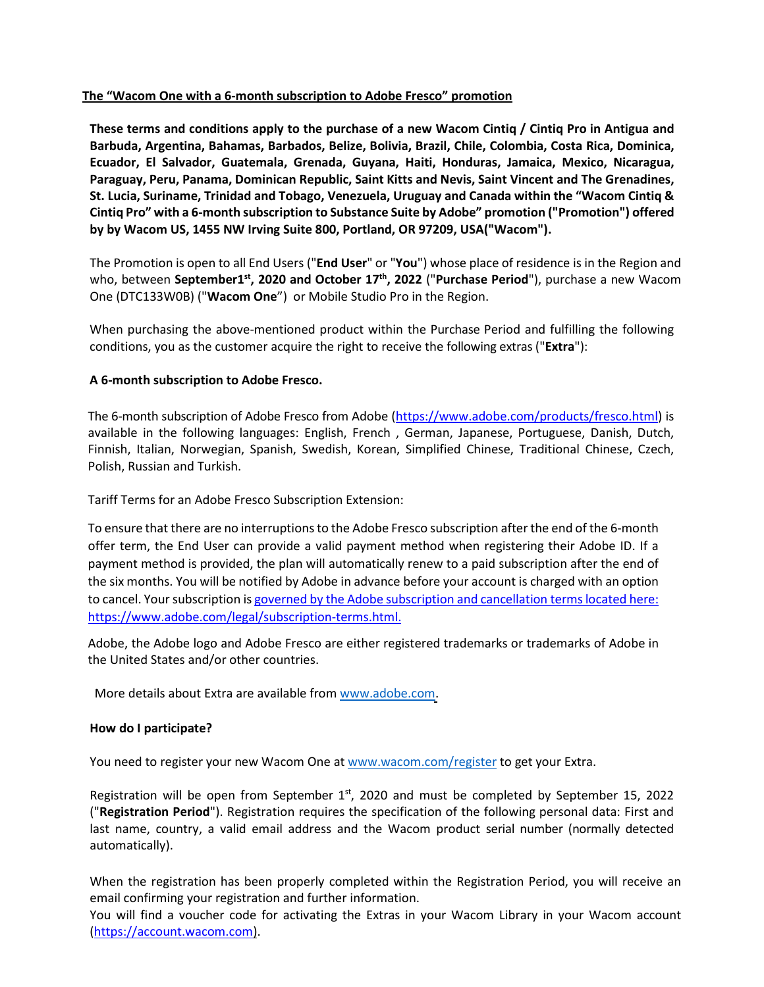## **The "Wacom One with a 6-month subscription to Adobe Fresco" promotion**

**These terms and conditions apply to the purchase of a new Wacom Cintiq / Cintiq Pro in Antigua and Barbuda, Argentina, Bahamas, Barbados, Belize, Bolivia, Brazil, Chile, Colombia, Costa Rica, Dominica, Ecuador, El Salvador, Guatemala, Grenada, Guyana, Haiti, Honduras, Jamaica, Mexico, Nicaragua, Paraguay, Peru, Panama, Dominican Republic, Saint Kitts and Nevis, Saint Vincent and The Grenadines, St. Lucia, Suriname, Trinidad and Tobago, Venezuela, Uruguay and Canada within the "Wacom Cintiq & Cintiq Pro" with a 6-month subscription to Substance Suite by Adobe" promotion ("Promotion") offered by by Wacom US, 1455 NW Irving Suite 800, Portland, OR 97209, USA("Wacom").**

The Promotion is open to all End Users ("**End User**" or "**You**") whose place of residence is in the Region and who, between **September1<sup>st</sup>, 2020 and October 17<sup>th</sup>, 2022** ("Purchase Period"), purchase a new Wacom One (DTC133W0B) ("**Wacom One**") or Mobile Studio Pro in the Region.

When purchasing the above-mentioned product within the Purchase Period and fulfilling the following conditions, you as the customer acquire the right to receive the following extras ("**Extra**"):

## **A 6-month subscription to Adobe Fresco.**

The 6-month subscription of Adobe Fresco from Adobe [\(https://www.adobe.com/products/fresco.html\)](https://www.adobe.com/products/fresco.html) is available in the following languages: English, French , German, Japanese, Portuguese, Danish, Dutch, Finnish, Italian, Norwegian, Spanish, Swedish, Korean, Simplified Chinese, Traditional Chinese, Czech, Polish, Russian and Turkish.

Tariff Terms for an Adobe Fresco Subscription Extension:

To ensure that there are no interruptions to the Adobe Fresco subscription after the end of the 6-month offer term, the End User can provide a valid payment method when registering their Adobe ID. If a payment method is provided, the plan will automatically renew to a paid subscription after the end of the six months. You will be notified by Adobe in advance before your account is charged with an option to cancel. Your subscription is governed by the Adobe subscription and cancellation terms located here: https://www.adobe.com/legal/subscription-terms.html.

Adobe, the Adobe logo and Adobe Fresco are either registered trademarks or trademarks of Adobe in the United States and/or other countries.

More details about Extra are available fro[m www.adobe.com.](https://www.adobe.com/)

## **How do I participate?**

You need to register your new Wacom One at [www.wacom.com/register](http://www.wacom.com/register) to get your Extra.

Registration will be open from September  $1<sup>st</sup>$ , 2020 and must be completed by September 15, 2022 ("**Registration Period**"). Registration requires the specification of the following personal data: First and last name, country, a valid email address and the Wacom product serial number (normally detected automatically).

When the registration has been properly completed within the Registration Period, you will receive an email confirming your registration and further information.

You will find a voucher code for activating the Extras in your Wacom Library in your Wacom account [\(https://account.wacom.com\)](https://account.wacom.com/).